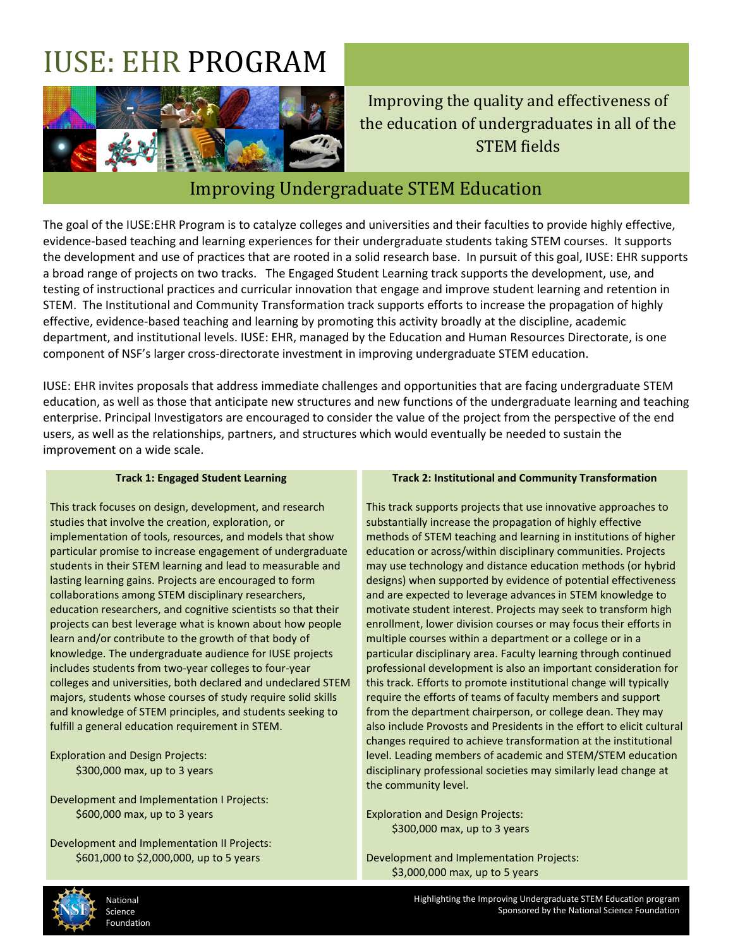# IUSE: EHR PROGRAM



Improving the quality and effectiveness of the education of undergraduates in all of the STEM fields

### Improving Undergraduate STEM Education

The goal of the IUSE:EHR Program is to catalyze colleges and universities and their faculties to provide highly effective, evidence-based teaching and learning experiences for their undergraduate students taking STEM courses. It supports the development and use of practices that are rooted in a solid research base. In pursuit of this goal, IUSE: EHR supports a broad range of projects on two tracks. The Engaged Student Learning track supports the development, use, and testing of instructional practices and curricular innovation that engage and improve student learning and retention in STEM. The Institutional and Community Transformation track supports efforts to increase the propagation of highly effective, evidence-based teaching and learning by promoting this activity broadly at the discipline, academic department, and institutional levels. IUSE: EHR, managed by the Education and Human Resources Directorate, is one component of NSF's larger cross-directorate investment in improving undergraduate STEM education.

IUSE: EHR invites proposals that address immediate challenges and opportunities that are facing undergraduate STEM education, as well as those that anticipate new structures and new functions of the undergraduate learning and teaching enterprise. Principal Investigators are encouraged to consider the value of the project from the perspective of the end users, as well as the relationships, partners, and structures which would eventually be needed to sustain the improvement on a wide scale.

#### **Track 1: Engaged Student Learning**

This track focuses on design, development, and research studies that involve the creation, exploration, or implementation of tools, resources, and models that show particular promise to increase engagement of undergraduate students in their STEM learning and lead to measurable and lasting learning gains. Projects are encouraged to form collaborations among STEM disciplinary researchers, education researchers, and cognitive scientists so that their projects can best leverage what is known about how people learn and/or contribute to the growth of that body of knowledge. The undergraduate audience for IUSE projects includes students from two-year colleges to four-year colleges and universities, both declared and undeclared STEM majors, students whose courses of study require solid skills and knowledge of STEM principles, and students seeking to fulfill a general education requirement in STEM.

Exploration and Design Projects: \$300,000 max, up to 3 years

Development and Implementation I Projects: \$600,000 max, up to 3 years

Development and Implementation II Projects: \$601,000 to \$2,000,000, up to 5 years

#### **Track 2: Institutional and Community Transformation**

This track supports projects that use innovative approaches to substantially increase the propagation of highly effective methods of STEM teaching and learning in institutions of higher education or across/within disciplinary communities. Projects may use technology and distance education methods (or hybrid designs) when supported by evidence of potential effectiveness and are expected to leverage advances in STEM knowledge to motivate student interest. Projects may seek to transform high enrollment, lower division courses or may focus their efforts in multiple courses within a department or a college or in a particular disciplinary area. Faculty learning through continued professional development is also an important consideration for this track. Efforts to promote institutional change will typically require the efforts of teams of faculty members and support from the department chairperson, or college dean. They may also include Provosts and Presidents in the effort to elicit cultural changes required to achieve transformation at the institutional level. Leading members of academic and STEM/STEM education disciplinary professional societies may similarly lead change at the community level.

Exploration and Design Projects: \$300,000 max, up to 3 years

Development and Implementation Projects: \$3,000,000 max, up to 5 years